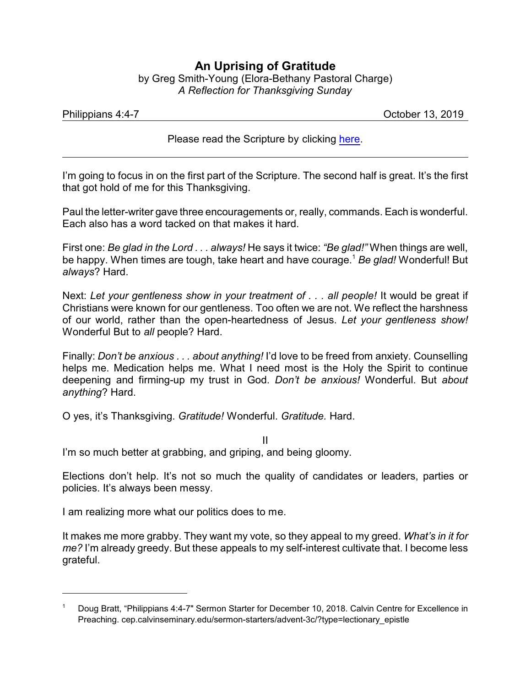## **An Uprising of Gratitude**

by Greg Smith-Young (Elora-Bethany Pastoral Charge) *A Reflection for Thanksgiving Sunday*

| Philippians 4:4-7 |  |
|-------------------|--|
|                   |  |

October 13, 2019

Please read the Scripture by clicking [here](https://www.biblegateway.com/passage/?search=Philippians+4%3A4-9&version=CEB).

I'm going to focus in on the first part of the Scripture. The second half is great. It's the first that got hold of me for this Thanksgiving.

Paul the letter-writer gave three encouragements or, really, commands. Each is wonderful. Each also has a word tacked on that makes it hard.

First one: *Be glad in the Lord . . . always!* He says it twice: *"Be glad!"* When things are well, be happy. When times are tough, take heart and have courage.<sup>1</sup> *Be glad!* Wonderful! But *always*? Hard.

Next: *Let your gentleness show in your treatment of . . . all people!* It would be great if Christians were known for our gentleness. Too often we are not. We reflect the harshness of our world, rather than the open-heartedness of Jesus. *Let your gentleness show!* Wonderful But to *all* people? Hard.

Finally: *Don't be anxious . . . about anything!* I'd love to be freed from anxiety. Counselling helps me. Medication helps me. What I need most is the Holy the Spirit to continue deepening and firming-up my trust in God. *Don't be anxious!* Wonderful. But *about anything*? Hard.

O yes, it's Thanksgiving. *Gratitude!* Wonderful. *Gratitude.* Hard.

II

I'm so much better at grabbing, and griping, and being gloomy.

Elections don't help. It's not so much the quality of candidates or leaders, parties or policies. It's always been messy.

I am realizing more what our politics does to me.

It makes me more grabby. They want my vote, so they appeal to my greed. *What's in it for me?* I'm already greedy. But these appeals to my self-interest cultivate that. I become less grateful.

<sup>1</sup> Doug Bratt, "Philippians 4:4-7" Sermon Starter for December 10, 2018. Calvin Centre for Excellence in Preaching. cep.calvinseminary.edu/sermon-starters/advent-3c/?type=lectionary\_epistle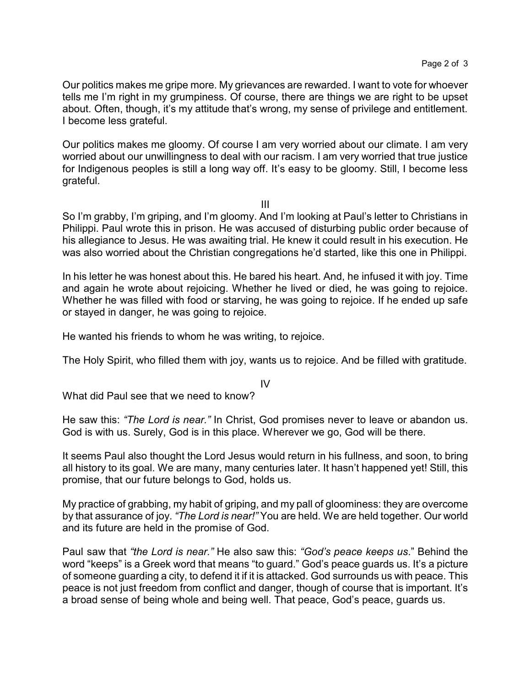Our politics makes me gripe more. My grievances are rewarded. I want to vote for whoever tells me I'm right in my grumpiness. Of course, there are things we are right to be upset about. Often, though, it's my attitude that's wrong, my sense of privilege and entitlement. I become less grateful.

Our politics makes me gloomy. Of course I am very worried about our climate. I am very worried about our unwillingness to deal with our racism. I am very worried that true justice for Indigenous peoples is still a long way off. It's easy to be gloomy. Still, I become less grateful.

III

So I'm grabby, I'm griping, and I'm gloomy. And I'm looking at Paul's letter to Christians in Philippi. Paul wrote this in prison. He was accused of disturbing public order because of his allegiance to Jesus. He was awaiting trial. He knew it could result in his execution. He was also worried about the Christian congregations he'd started, like this one in Philippi.

In his letter he was honest about this. He bared his heart. And, he infused it with joy. Time and again he wrote about rejoicing. Whether he lived or died, he was going to rejoice. Whether he was filled with food or starving, he was going to rejoice. If he ended up safe or stayed in danger, he was going to rejoice.

He wanted his friends to whom he was writing, to rejoice.

The Holy Spirit, who filled them with joy, wants us to rejoice. And be filled with gratitude.

IV

What did Paul see that we need to know?

He saw this: *"The Lord is near."* In Christ, God promises never to leave or abandon us. God is with us. Surely, God is in this place. Wherever we go, God will be there.

It seems Paul also thought the Lord Jesus would return in his fullness, and soon, to bring all history to its goal. We are many, many centuries later. It hasn't happened yet! Still, this promise, that our future belongs to God, holds us.

My practice of grabbing, my habit of griping, and my pall of gloominess: they are overcome by that assurance of joy. *"The Lord is near!"* You are held. We are held together. Our world and its future are held in the promise of God.

Paul saw that *"the Lord is near."* He also saw this: *"God's peace keeps us*." Behind the word "keeps" is a Greek word that means "to guard." God's peace guards us. It's a picture of someone guarding a city, to defend it if it is attacked. God surrounds us with peace. This peace is not just freedom from conflict and danger, though of course that is important. It's a broad sense of being whole and being well. That peace, God's peace, guards us.